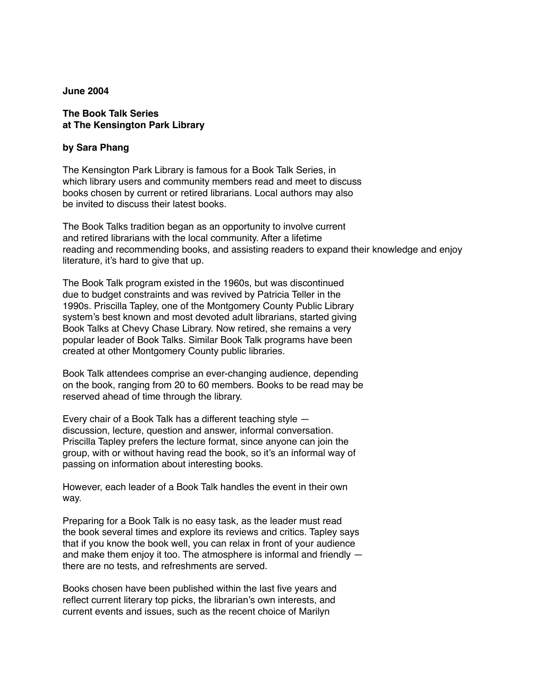## **June 2004**

## **The Book Talk Series at The Kensington Park Library**

## **by Sara Phang**

The Kensington Park Library is famous for a Book Talk Series, in which library users and community members read and meet to discuss books chosen by current or retired librarians. Local authors may also be invited to discuss their latest books.

The Book Talks tradition began as an opportunity to involve current and retired librarians with the local community. After a lifetime reading and recommending books, and assisting readers to expand their knowledge and enjoy literature, it's hard to give that up.

The Book Talk program existed in the 1960s, but was discontinued due to budget constraints and was revived by Patricia Teller in the 1990s. Priscilla Tapley, one of the Montgomery County Public Library system's best known and most devoted adult librarians, started giving Book Talks at Chevy Chase Library. Now retired, she remains a very popular leader of Book Talks. Similar Book Talk programs have been created at other Montgomery County public libraries.

Book Talk attendees comprise an ever-changing audience, depending on the book, ranging from 20 to 60 members. Books to be read may be reserved ahead of time through the library.

Every chair of a Book Talk has a different teaching style discussion, lecture, question and answer, informal conversation. Priscilla Tapley prefers the lecture format, since anyone can join the group, with or without having read the book, so it's an informal way of passing on information about interesting books.

However, each leader of a Book Talk handles the event in their own way.

Preparing for a Book Talk is no easy task, as the leader must read the book several times and explore its reviews and critics. Tapley says that if you know the book well, you can relax in front of your audience and make them enjoy it too. The atmosphere is informal and friendly there are no tests, and refreshments are served.

Books chosen have been published within the last five years and reflect current literary top picks, the librarian's own interests, and current events and issues, such as the recent choice of Marilyn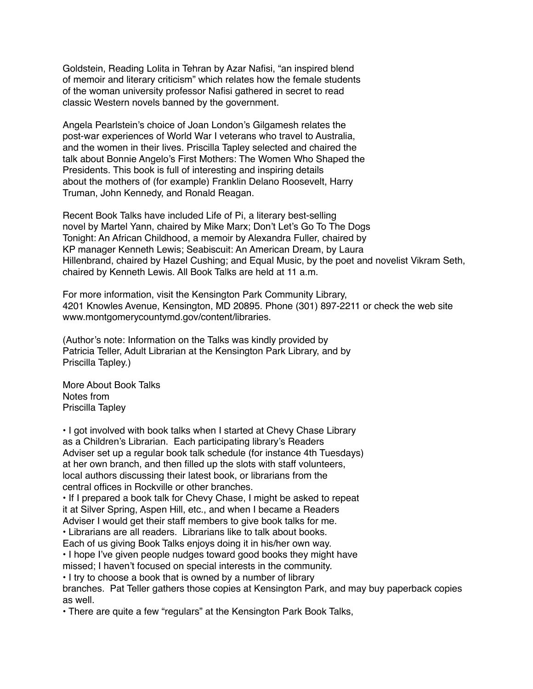Goldstein, Reading Lolita in Tehran by Azar Nafisi, "an inspired blend of memoir and literary criticism" which relates how the female students of the woman university professor Nafisi gathered in secret to read classic Western novels banned by the government.

Angela Pearlstein's choice of Joan London's Gilgamesh relates the post-war experiences of World War I veterans who travel to Australia, and the women in their lives. Priscilla Tapley selected and chaired the talk about Bonnie Angelo's First Mothers: The Women Who Shaped the Presidents. This book is full of interesting and inspiring details about the mothers of (for example) Franklin Delano Roosevelt, Harry Truman, John Kennedy, and Ronald Reagan.

Recent Book Talks have included Life of Pi, a literary best-selling novel by Martel Yann, chaired by Mike Marx; Don't Let's Go To The Dogs Tonight: An African Childhood, a memoir by Alexandra Fuller, chaired by KP manager Kenneth Lewis; Seabiscuit: An American Dream, by Laura Hillenbrand, chaired by Hazel Cushing; and Equal Music, by the poet and novelist Vikram Seth, chaired by Kenneth Lewis. All Book Talks are held at 11 a.m.

For more information, visit the Kensington Park Community Library, 4201 Knowles Avenue, Kensington, MD 20895. Phone (301) 897-2211 or check the web site www.montgomerycountymd.gov/content/libraries.

(Author's note: Information on the Talks was kindly provided by Patricia Teller, Adult Librarian at the Kensington Park Library, and by Priscilla Tapley.)

More About Book Talks Notes from Priscilla Tapley

• I got involved with book talks when I started at Chevy Chase Library as a Children's Librarian. Each participating library's Readers Adviser set up a regular book talk schedule (for instance 4th Tuesdays) at her own branch, and then filled up the slots with staff volunteers, local authors discussing their latest book, or librarians from the central offices in Rockville or other branches.

• If I prepared a book talk for Chevy Chase, I might be asked to repeat it at Silver Spring, Aspen Hill, etc., and when I became a Readers Adviser I would get their staff members to give book talks for me.

• Librarians are all readers. Librarians like to talk about books.

Each of us giving Book Talks enjoys doing it in his/her own way. • I hope I've given people nudges toward good books they might have

missed; I haven't focused on special interests in the community.

• I try to choose a book that is owned by a number of library

branches. Pat Teller gathers those copies at Kensington Park, and may buy paperback copies as well.

• There are quite a few "regulars" at the Kensington Park Book Talks,